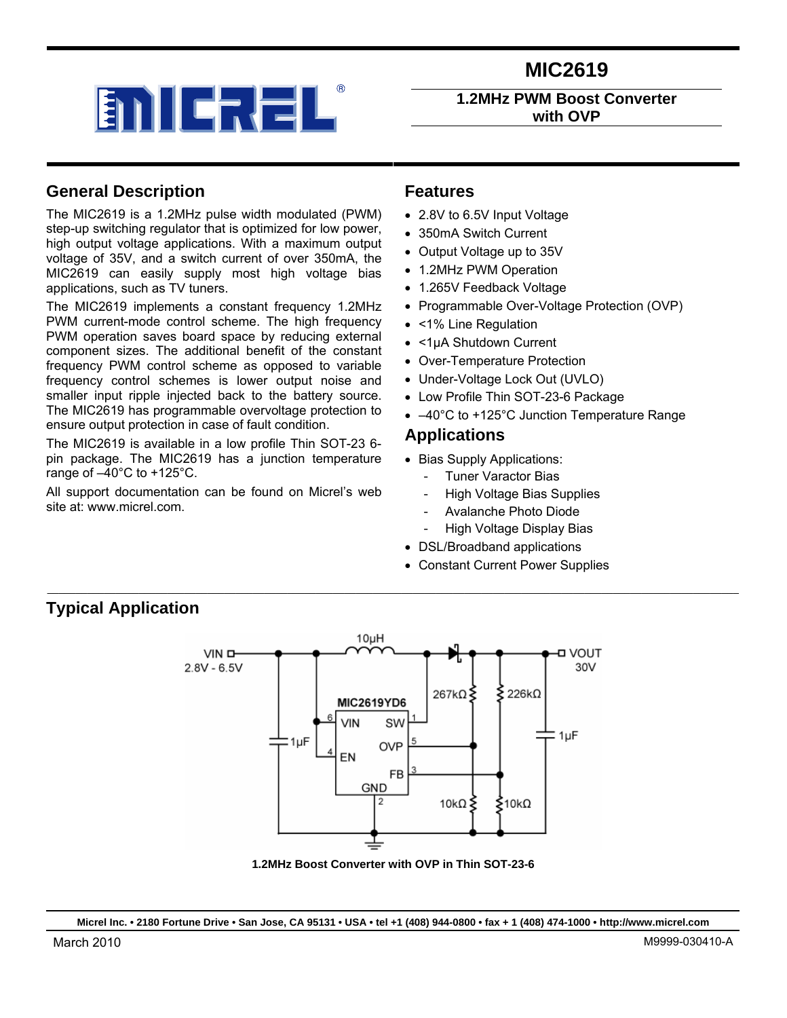



**1.2MHz PWM Boost Converter with OVP** 

### **General Description**

**Typical Application** 

The MIC2619 is a 1.2MHz pulse width modulated (PWM) step-up switching regulator that is optimized for low power, high output voltage applications. With a maximum output voltage of 35V, and a switch current of over 350mA, the MIC2619 can easily supply most high voltage bias applications, such as TV tuners.

The MIC2619 implements a constant frequency 1.2MHz PWM current-mode control scheme. The high frequency PWM operation saves board space by reducing external component sizes. The additional benefit of the constant frequency PWM control scheme as opposed to variable frequency control schemes is lower output noise and smaller input ripple injected back to the battery source. The MIC2619 has programmable overvoltage protection to ensure output protection in case of fault condition.

The MIC2619 is available in a low profile Thin SOT-23 6 pin package. The MIC2619 has a junction temperature range of –40°C to +125°C.

All support documentation can be found on Micrel's web site at: www.micrel.com.

### **Features**

- 2.8V to 6.5V Input Voltage
- 350mA Switch Current
- Output Voltage up to 35V
- 1.2MHz PWM Operation
- 1.265V Feedback Voltage
- Programmable Over-Voltage Protection (OVP)
- <1% Line Regulation
- <1uA Shutdown Current
- Over-Temperature Protection
- Under-Voltage Lock Out (UVLO)
- Low Profile Thin SOT-23-6 Package
- –40°C to +125°C Junction Temperature Range

#### **Applications**

- Bias Supply Applications:
	- **Tuner Varactor Bias**
	- **High Voltage Bias Supplies**
	- Avalanche Photo Diode
	- High Voltage Display Bias
- DSL/Broadband applications
- Constant Current Power Supplies



 $\mathcal{L}_\mathcal{L} = \{ \mathcal{L}_\mathcal{L} = \{ \mathcal{L}_\mathcal{L} = \{ \mathcal{L}_\mathcal{L} = \{ \mathcal{L}_\mathcal{L} = \{ \mathcal{L}_\mathcal{L} = \{ \mathcal{L}_\mathcal{L} = \{ \mathcal{L}_\mathcal{L} = \{ \mathcal{L}_\mathcal{L} = \{ \mathcal{L}_\mathcal{L} = \{ \mathcal{L}_\mathcal{L} = \{ \mathcal{L}_\mathcal{L} = \{ \mathcal{L}_\mathcal{L} = \{ \mathcal{L}_\mathcal{L} = \{ \mathcal{L}_\mathcal{$ 

**1.2MHz Boost Converter with OVP in Thin SOT-23-6** 

**Micrel Inc. • 2180 Fortune Drive • San Jose, CA 95131 • USA • tel +1 (408) 944-0800 • fax + 1 (408) 474-1000 • http://www.micrel.com**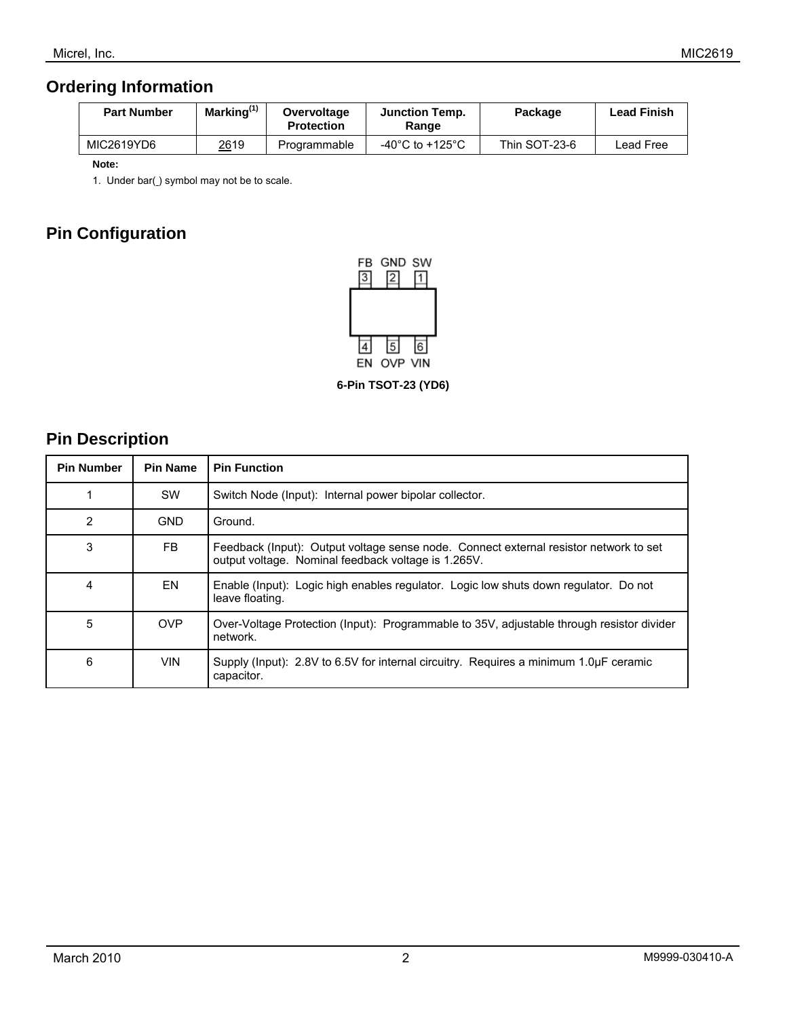## **Ordering Information**

| <b>Part Number</b> | Marking <sup>(1)</sup> | Overvoltage<br><b>Protection</b> | <b>Junction Temp.</b><br>Range        | Package       | <b>Lead Finish</b> |
|--------------------|------------------------|----------------------------------|---------------------------------------|---------------|--------------------|
| MIC2619YD6         | 2619                   | Programmable                     | -40 $^{\circ}$ C to +125 $^{\circ}$ C | Thin SOT-23-6 | Lead Free          |

 **Note:** 

1. Under bar() symbol may not be to scale.

## **Pin Configuration**



**6-Pin TSOT-23 (YD6)** 

### **Pin Description**

| <b>Pin Number</b> | <b>Pin Name</b> | <b>Pin Function</b>                                                                                                                          |
|-------------------|-----------------|----------------------------------------------------------------------------------------------------------------------------------------------|
|                   | <b>SW</b>       | Switch Node (Input): Internal power bipolar collector.                                                                                       |
| 2                 | <b>GND</b>      | Ground.                                                                                                                                      |
| 3                 | FB              | Feedback (lnput): Output voltage sense node. Connect external resistor network to set<br>output voltage. Nominal feedback voltage is 1.265V. |
| 4                 | EN.             | Enable (Input): Logic high enables regulator. Logic low shuts down regulator. Do not<br>leave floating.                                      |
| 5                 | <b>OVP</b>      | Over-Voltage Protection (Input): Programmable to 35V, adjustable through resistor divider<br>network.                                        |
| 6                 | <b>VIN</b>      | Supply (lnput): 2.8V to 6.5V for internal circuitry. Requires a minimum 1.0uF ceramic<br>capacitor.                                          |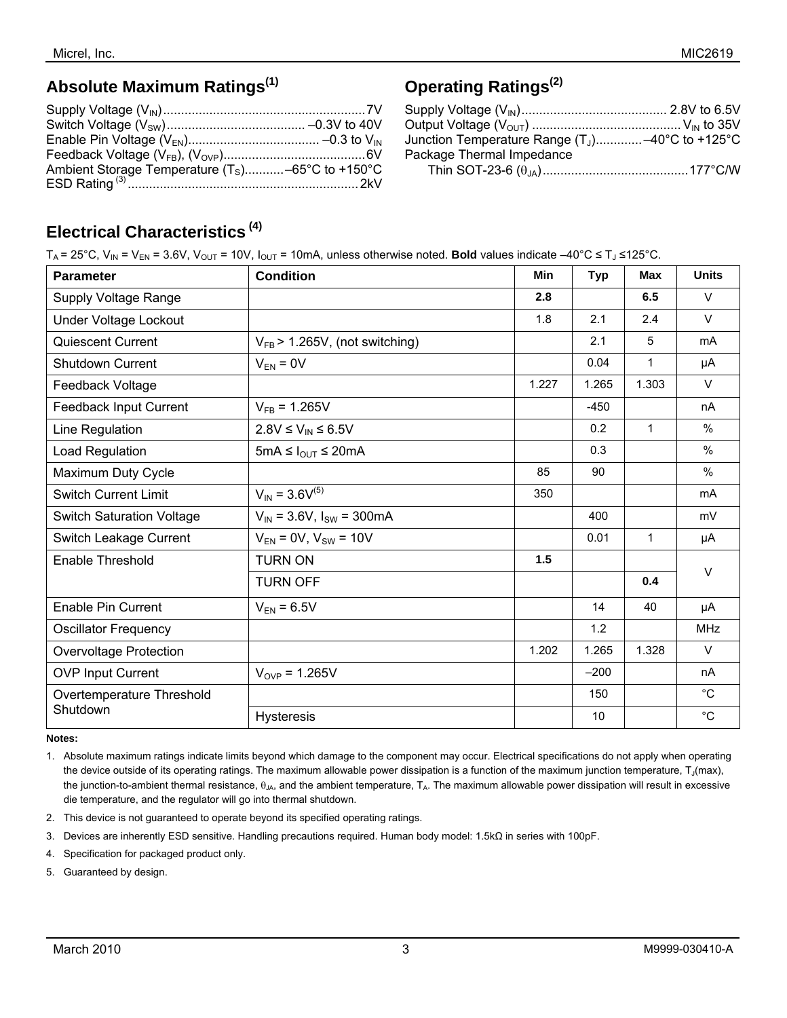### **Absolute Maximum Ratings(1)**

| Ambient Storage Temperature $(T_S)$ –65°C to +150°C |  |
|-----------------------------------------------------|--|
|                                                     |  |

# **Operating Ratings(2)**

| Junction Temperature Range $(T_1)$ -40°C to +125°C |  |
|----------------------------------------------------|--|
| Package Thermal Impedance                          |  |
|                                                    |  |

## **Electrical Characteristics (4)**

T<sub>A</sub> = 25°C, V<sub>IN</sub> = V<sub>EN</sub> = 3.6V, V<sub>OUT</sub> = 10V, I<sub>OUT</sub> = 10mA, unless otherwise noted. **Bold** values indicate –40°C ≤ T<sub>J</sub> ≤125°C.

| <b>Parameter</b>                 | <b>Condition</b>                   | Min   | <b>Typ</b> | <b>Max</b>   | <b>Units</b> |  |
|----------------------------------|------------------------------------|-------|------------|--------------|--------------|--|
| Supply Voltage Range             |                                    | 2.8   |            | 6.5          | $\vee$       |  |
| Under Voltage Lockout            |                                    | 1.8   | 2.1        | 2.4          | $\vee$       |  |
| <b>Quiescent Current</b>         | $V_{FB}$ > 1.265V, (not switching) |       | 2.1        | 5            | mA           |  |
| <b>Shutdown Current</b>          | $V_{EN} = 0V$                      |       | 0.04       | 1            | μA           |  |
| Feedback Voltage                 |                                    | 1.227 | 1.265      | 1.303        | $\vee$       |  |
| Feedback Input Current           | $V_{FB} = 1.265V$                  |       | $-450$     |              | nA           |  |
| Line Regulation                  | $2.8V \leq V_{IN} \leq 6.5V$       |       | 0.2        | $\mathbf{1}$ | $\%$         |  |
| Load Regulation                  | 5mA ≤ $I_{OUT}$ ≤ 20mA             |       | 0.3        |              | %            |  |
| Maximum Duty Cycle               |                                    | 85    | 90         |              | $\%$         |  |
| <b>Switch Current Limit</b>      | $V_{IN}$ = 3.6 $V^{(5)}$           | 350   |            |              | mA           |  |
| <b>Switch Saturation Voltage</b> | $V_{IN}$ = 3.6V, $I_{SW}$ = 300mA  |       | 400        |              | mV           |  |
| Switch Leakage Current           | $V_{EN} = 0V$ , $V_{SW} = 10V$     |       | 0.01       | 1            | μA           |  |
| Enable Threshold                 | <b>TURN ON</b>                     | 1.5   |            |              | $\vee$       |  |
|                                  | <b>TURN OFF</b>                    |       |            | 0.4          |              |  |
| <b>Enable Pin Current</b>        | $V_{EN}$ = 6.5V                    |       | 14         | 40           | μA           |  |
| <b>Oscillator Frequency</b>      |                                    |       | 1.2        |              | <b>MHz</b>   |  |
| <b>Overvoltage Protection</b>    |                                    | 1.202 | 1.265      | 1.328        | $\vee$       |  |
| <b>OVP Input Current</b>         | $V_{OVP} = 1.265V$                 |       | $-200$     |              | nA           |  |
| Overtemperature Threshold        |                                    |       | 150        |              | $^{\circ}$ C |  |
| Shutdown                         | <b>Hysteresis</b>                  |       | 10         |              | $^{\circ}C$  |  |

#### **Notes:**

1. Absolute maximum ratings indicate limits beyond which damage to the component may occur. Electrical specifications do not apply when operating the device outside of its operating ratings. The maximum allowable power dissipation is a function of the maximum junction temperature,  $T_J$ (max), the junction-to-ambient thermal resistance,  $\theta_{JA}$ , and the ambient temperature,  $T_A$ . The maximum allowable power dissipation will result in excessive die temperature, and the regulator will go into thermal shutdown.

2. This device is not guaranteed to operate beyond its specified operating ratings.

- 3. Devices are inherently ESD sensitive. Handling precautions required. Human body model: 1.5kΩ in series with 100pF.
- 4. Specification for packaged product only.
- 5. Guaranteed by design.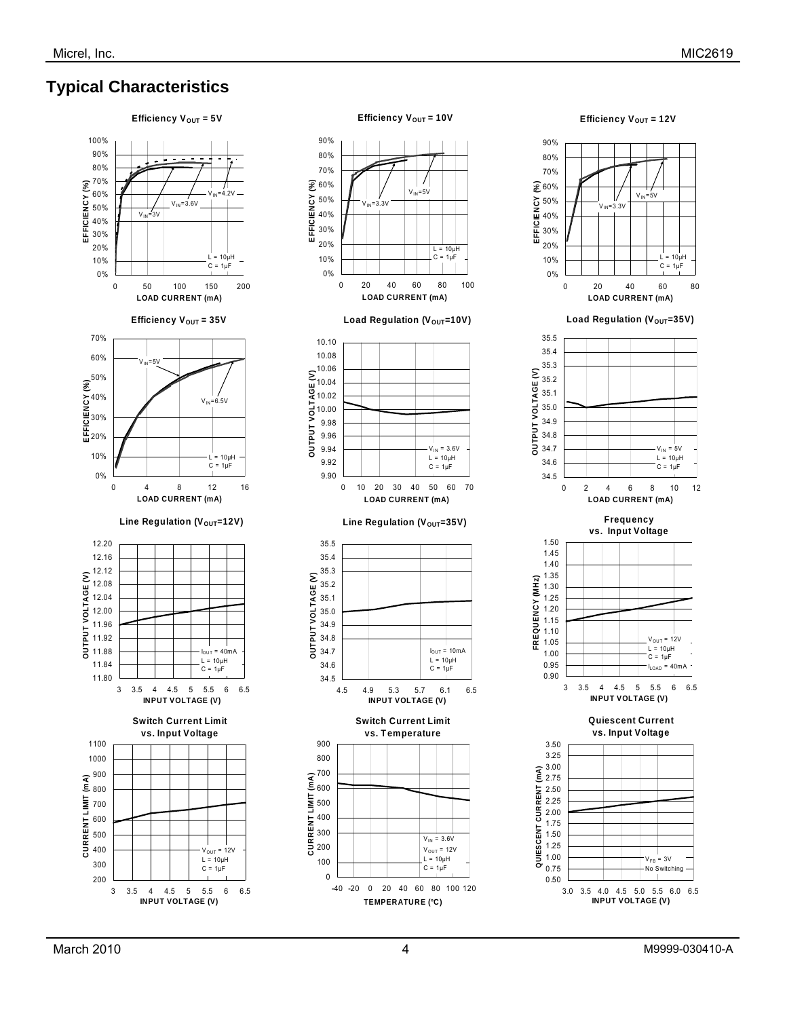## **Typical Characteristics**





Efficiency V<sub>OUT</sub> = 12V

3 3.5 4 4.5 5 5.5 6 6.5 **INPUT VOLTAGE (V)**

**Quiescent Current vs. Input Voltage** 

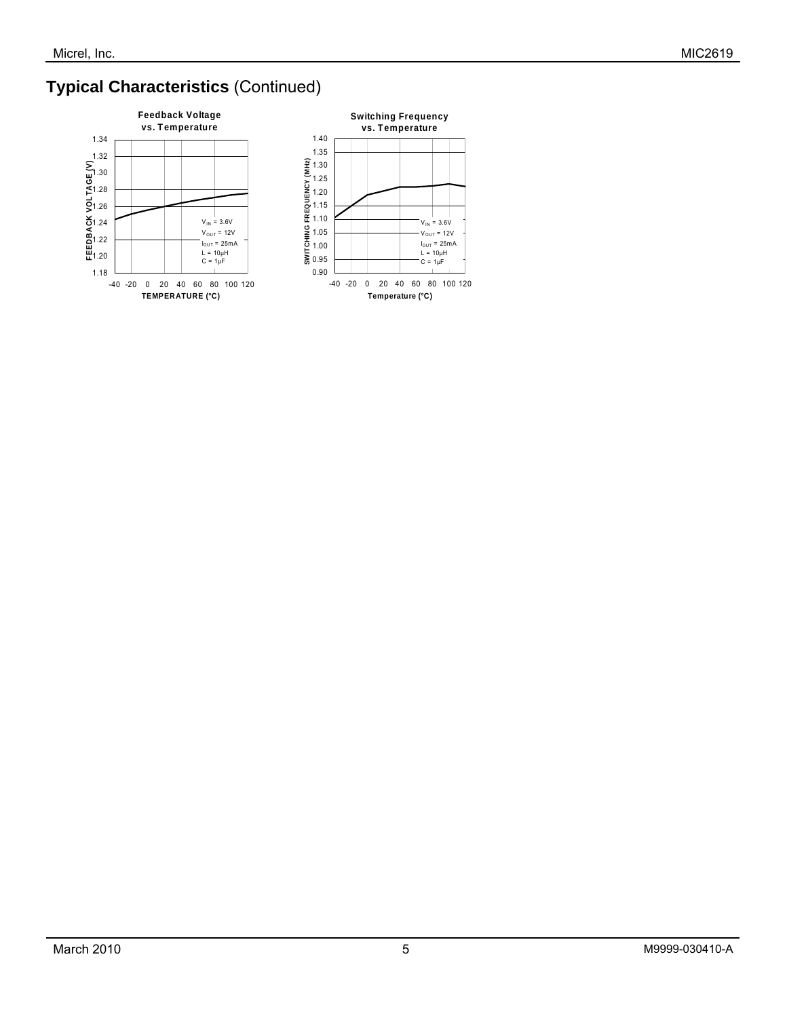# **Typical Characteristics** (Continued)

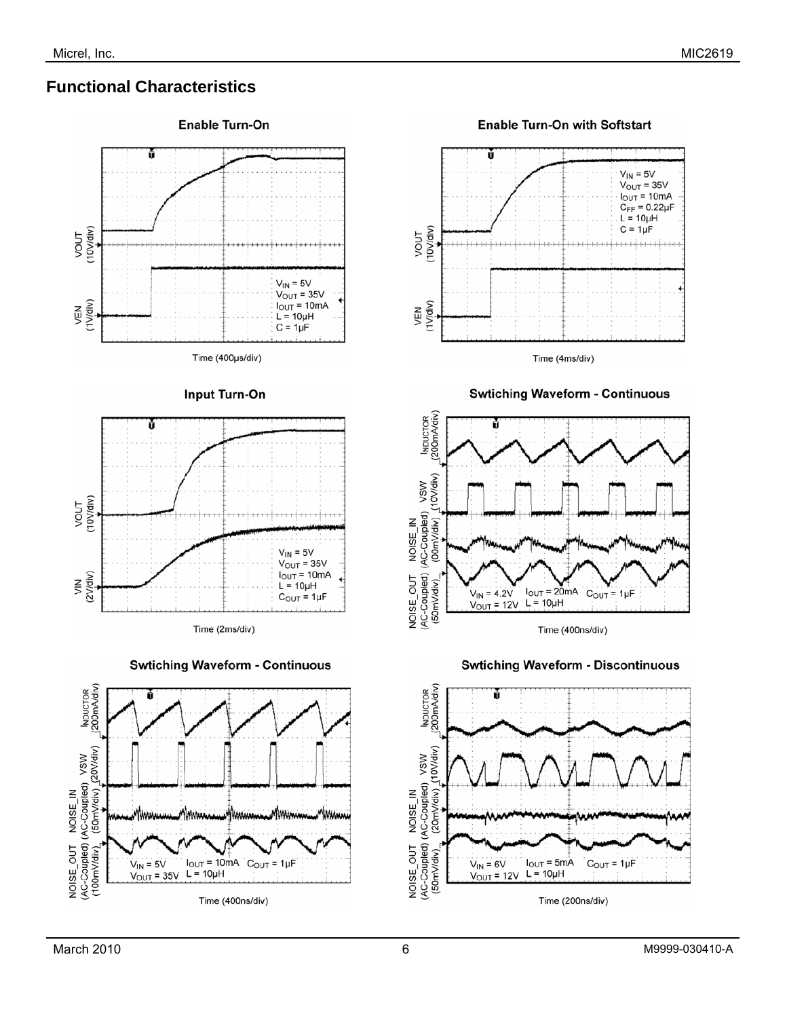## **Functional Characteristics**



#### **Enable Turn-On with Softstart**



**Swtiching Waveform - Continuous** 





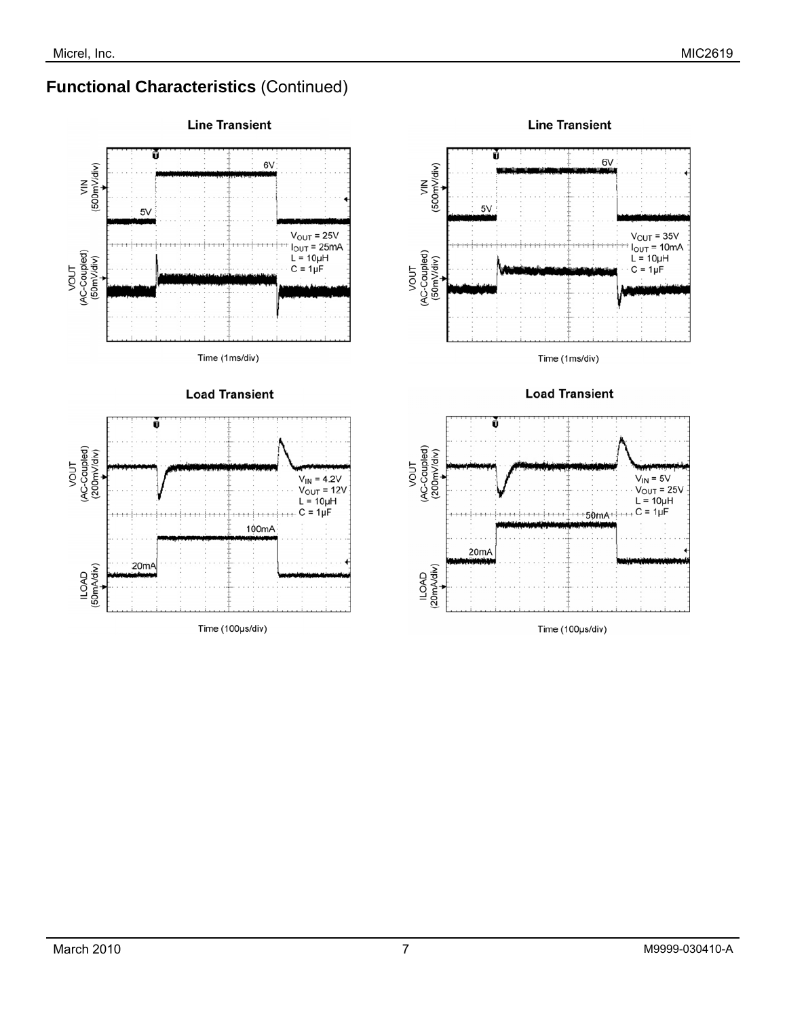## **Functional Characteristics** (Continued)



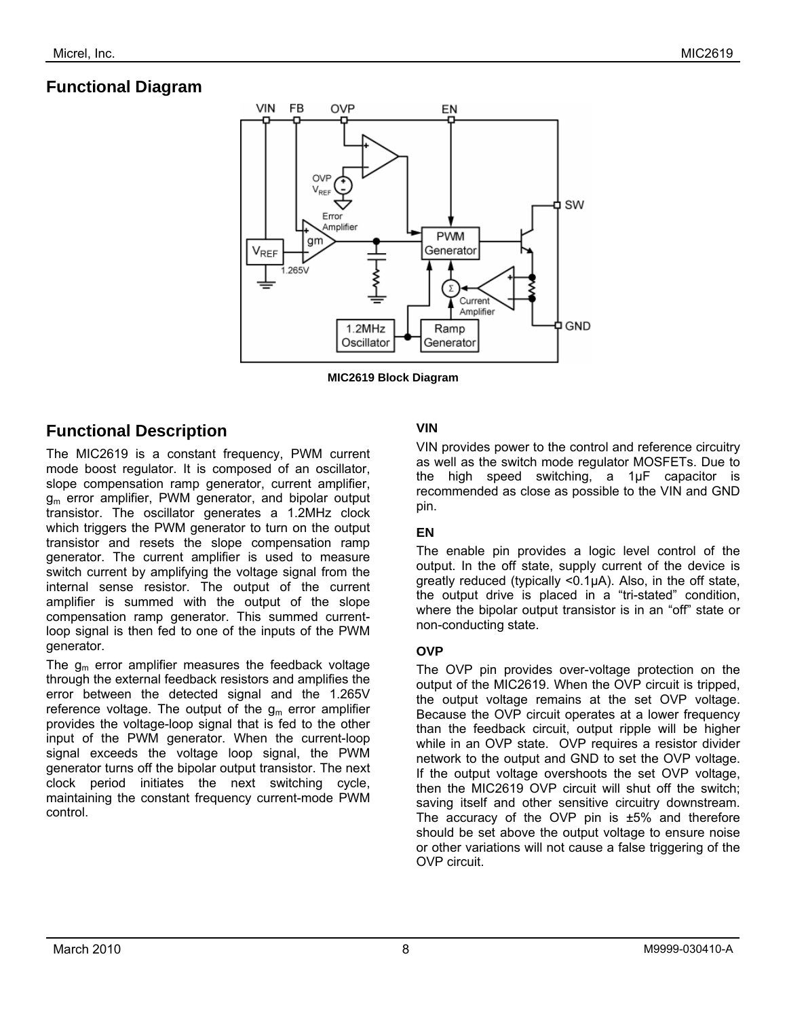# **Functional Diagram**



**MIC2619 Block Diagram** 

### **Functional Description**

The MIC2619 is a constant frequency, PWM current mode boost regulator. It is composed of an oscillator, slope compensation ramp generator, current amplifier,  $g<sub>m</sub>$  error amplifier, PWM generator, and bipolar output transistor. The oscillator generates a 1.2MHz clock which triggers the PWM generator to turn on the output transistor and resets the slope compensation ramp generator. The current amplifier is used to measure switch current by amplifying the voltage signal from the internal sense resistor. The output of the current amplifier is summed with the output of the slope compensation ramp generator. This summed currentloop signal is then fed to one of the inputs of the PWM generator.

The  $g_m$  error amplifier measures the feedback voltage through the external feedback resistors and amplifies the error between the detected signal and the 1.265V reference voltage. The output of the  $q_m$  error amplifier provides the voltage-loop signal that is fed to the other input of the PWM generator. When the current-loop signal exceeds the voltage loop signal, the PWM generator turns off the bipolar output transistor. The next clock period initiates the next switching cycle, maintaining the constant frequency current-mode PWM control.

### **VIN**

VIN provides power to the control and reference circuitry as well as the switch mode regulator MOSFETs. Due to the high speed switching, a 1µF capacitor is recommended as close as possible to the VIN and GND pin.

### **EN**

The enable pin provides a logic level control of the output. In the off state, supply current of the device is greatly reduced (typically <0.1µA). Also, in the off state, the output drive is placed in a "tri-stated" condition, where the bipolar output transistor is in an "off" state or non-conducting state.

### **OVP**

The OVP pin provides over-voltage protection on the output of the MIC2619. When the OVP circuit is tripped, the output voltage remains at the set OVP voltage. Because the OVP circuit operates at a lower frequency than the feedback circuit, output ripple will be higher while in an OVP state. OVP requires a resistor divider network to the output and GND to set the OVP voltage. If the output voltage overshoots the set OVP voltage, then the MIC2619 OVP circuit will shut off the switch; saving itself and other sensitive circuitry downstream. The accuracy of the OVP pin is  $\pm 5\%$  and therefore should be set above the output voltage to ensure noise or other variations will not cause a false triggering of the OVP circuit.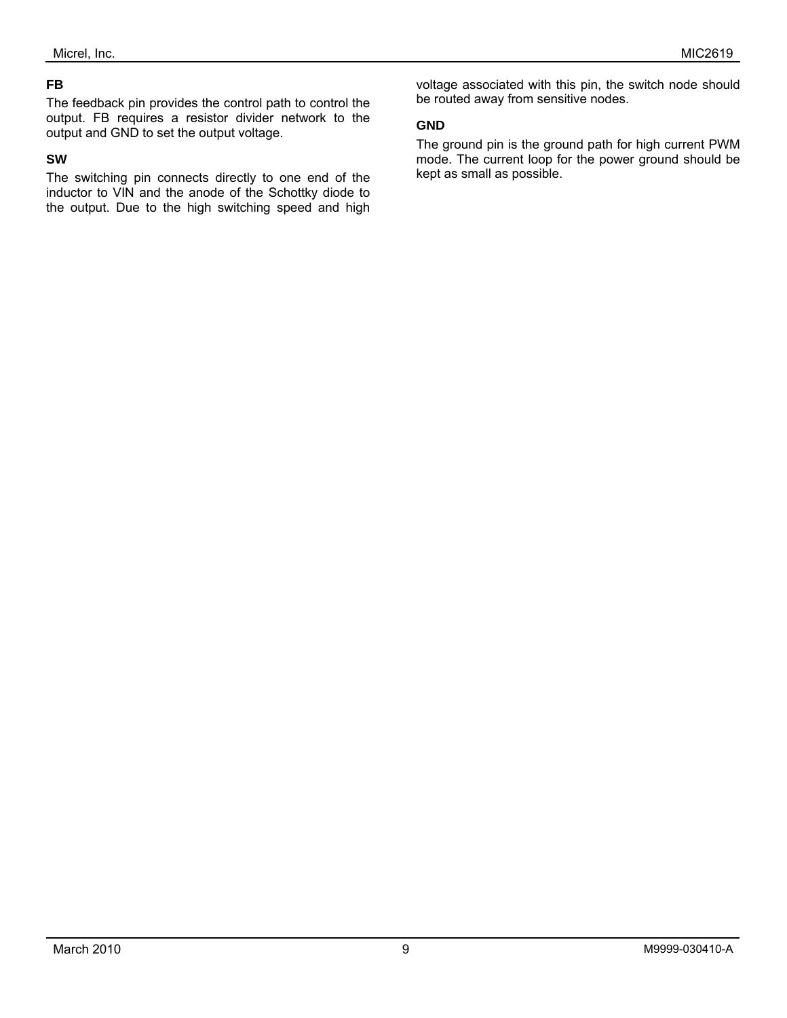### **FB**

The feedback pin provides the control path to control the output. FB requires a resistor divider network to the output and GND to set the output voltage.

#### **SW**

The switching pin connects directly to one end of the inductor to VIN and the anode of the Schottky diode to the output. Due to the high switching speed and high

voltage associated with this pin, the switch node should be routed away from sensitive nodes.

#### **GND**

The ground pin is the ground path for high current PWM mode. The current loop for the power ground should be kept as small as possible.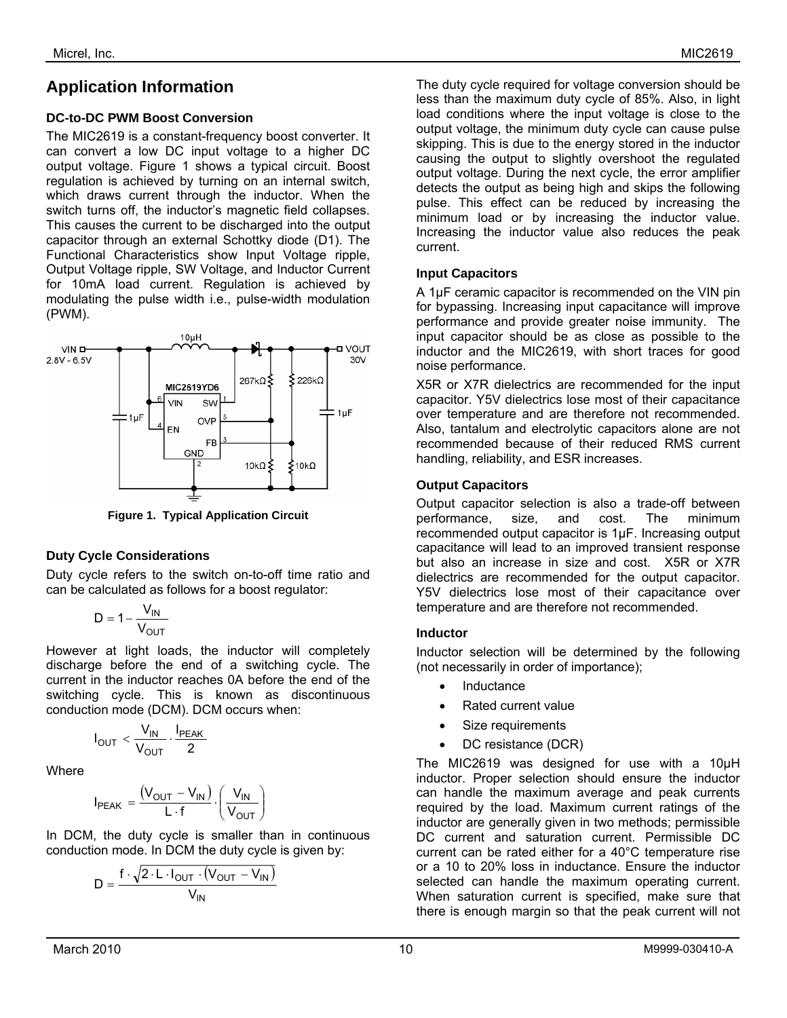## **Application Information**

#### **DC-to-DC PWM Boost Conversion**

The MIC2619 is a constant-frequency boost converter. It can convert a low DC input voltage to a higher DC output voltage. Figure 1 shows a typical circuit. Boost regulation is achieved by turning on an internal switch, which draws current through the inductor. When the switch turns off, the inductor's magnetic field collapses. This causes the current to be discharged into the output capacitor through an external Schottky diode (D1). The Functional Characteristics show Input Voltage ripple, Output Voltage ripple, SW Voltage, and Inductor Current for 10mA load current. Regulation is achieved by modulating the pulse width i.e., pulse-width modulation (PWM).



**Figure 1. Typical Application Circuit** 

#### **Duty Cycle Considerations**

Duty cycle refers to the switch on-to-off time ratio and can be calculated as follows for a boost regulator:

$$
D=1-\frac{V_{IN}}{V_{OUT}}
$$

However at light loads, the inductor will completely discharge before the end of a switching cycle. The current in the inductor reaches 0A before the end of the switching cycle. This is known as discontinuous conduction mode (DCM). DCM occurs when:

$$
I_{OUT} < \frac{V_{IN}}{V_{OUT}} \cdot \frac{I_{PEAK}}{2}
$$

**Where** 

$$
I_{PEAK} = \frac{(V_{OUT} - V_{IN})}{L \cdot f} \cdot \left(\frac{V_{IN}}{V_{OUT}}\right)
$$

In DCM, the duty cycle is smaller than in continuous conduction mode. In DCM the duty cycle is given by:

$$
D = \frac{f \cdot \sqrt{2 \cdot L \cdot I_{OUT} \cdot (V_{OUT} - V_{IN})}}{V_{IN}}
$$

The duty cycle required for voltage conversion should be less than the maximum duty cycle of 85%. Also, in light load conditions where the input voltage is close to the output voltage, the minimum duty cycle can cause pulse skipping. This is due to the energy stored in the inductor causing the output to slightly overshoot the regulated output voltage. During the next cycle, the error amplifier detects the output as being high and skips the following pulse. This effect can be reduced by increasing the minimum load or by increasing the inductor value. Increasing the inductor value also reduces the peak current.

#### **Input Capacitors**

A 1µF ceramic capacitor is recommended on the VIN pin for bypassing. Increasing input capacitance will improve performance and provide greater noise immunity. The input capacitor should be as close as possible to the inductor and the MIC2619, with short traces for good noise performance.

X5R or X7R dielectrics are recommended for the input capacitor. Y5V dielectrics lose most of their capacitance over temperature and are therefore not recommended. Also, tantalum and electrolytic capacitors alone are not recommended because of their reduced RMS current handling, reliability, and ESR increases.

#### **Output Capacitors**

Output capacitor selection is also a trade-off between performance, size, and cost. The minimum recommended output capacitor is 1µF. Increasing output capacitance will lead to an improved transient response but also an increase in size and cost. X5R or X7R dielectrics are recommended for the output capacitor. Y5V dielectrics lose most of their capacitance over temperature and are therefore not recommended.

#### **Inductor**

Inductor selection will be determined by the following (not necessarily in order of importance);

- **Inductance**
- Rated current value
- Size requirements
- DC resistance (DCR)

The MIC2619 was designed for use with a 10µH inductor. Proper selection should ensure the inductor can handle the maximum average and peak currents required by the load. Maximum current ratings of the inductor are generally given in two methods; permissible DC current and saturation current. Permissible DC current can be rated either for a 40°C temperature rise or a 10 to 20% loss in inductance. Ensure the inductor selected can handle the maximum operating current. When saturation current is specified, make sure that there is enough margin so that the peak current will not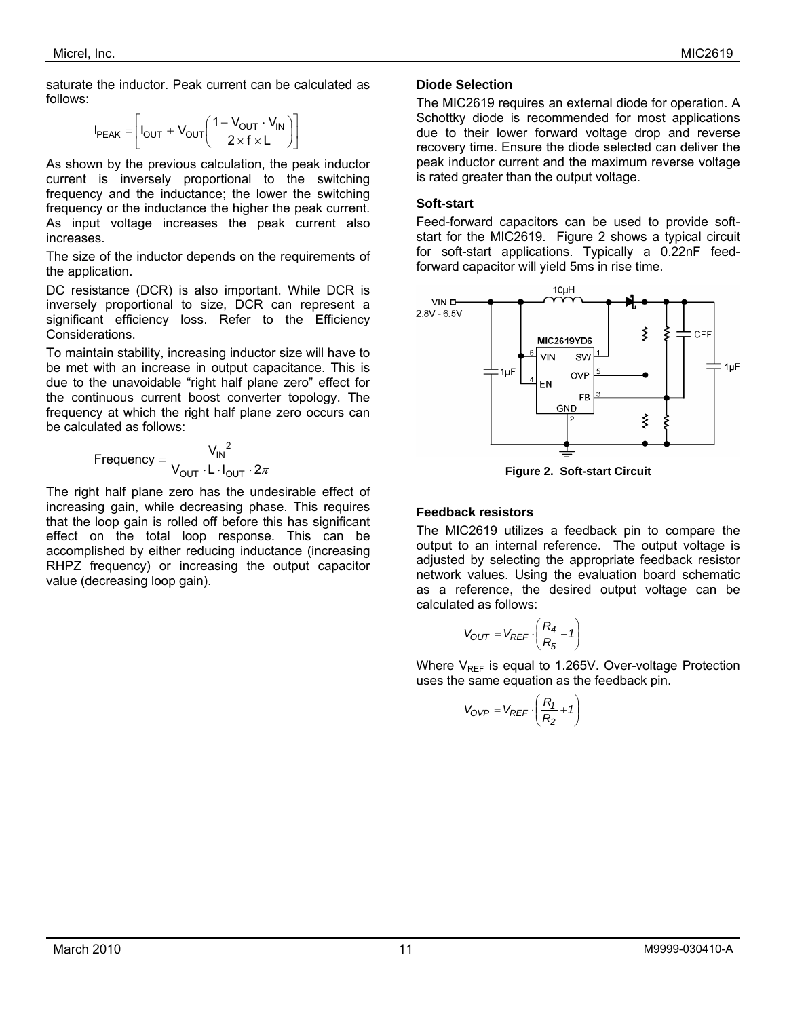saturate the inductor. Peak current can be calculated as follows:

$$
I_{PEAK} = \left[ I_{OUT} + V_{OUT} \left( \frac{1 - V_{OUT} \cdot V_{IN}}{2 \times f \times L} \right) \right]
$$

As shown by the previous calculation, the peak inductor current is inversely proportional to the switching frequency and the inductance; the lower the switching frequency or the inductance the higher the peak current. As input voltage increases the peak current also increases.

The size of the inductor depends on the requirements of the application.

DC resistance (DCR) is also important. While DCR is inversely proportional to size, DCR can represent a significant efficiency loss. Refer to the Efficiency Considerations.

To maintain stability, increasing inductor size will have to be met with an increase in output capacitance. This is due to the unavoidable "right half plane zero" effect for the continuous current boost converter topology. The frequency at which the right half plane zero occurs can be calculated as follows:

Frequency = 
$$
\frac{V_{IN}^{2}}{V_{OUT} \cdot L \cdot I_{OUT} \cdot 2\pi}
$$

The right half plane zero has the undesirable effect of increasing gain, while decreasing phase. This requires that the loop gain is rolled off before this has significant effect on the total loop response. This can be accomplished by either reducing inductance (increasing RHPZ frequency) or increasing the output capacitor value (decreasing loop gain).

#### **Diode Selection**

The MIC2619 requires an external diode for operation. A Schottky diode is recommended for most applications due to their lower forward voltage drop and reverse recovery time. Ensure the diode selected can deliver the peak inductor current and the maximum reverse voltage is rated greater than the output voltage.

#### **Soft-start**

Feed-forward capacitors can be used to provide softstart for the MIC2619. Figure 2 shows a typical circuit for soft-start applications. Typically a 0.22nF feedforward capacitor will yield 5ms in rise time.



**Figure 2. Soft-start Circuit** 

#### **Feedback resistors**

The MIC2619 utilizes a feedback pin to compare the output to an internal reference. The output voltage is adjusted by selecting the appropriate feedback resistor network values. Using the evaluation board schematic as a reference, the desired output voltage can be calculated as follows:

$$
V_{OUT} = V_{REF} \cdot \left(\frac{R_4}{R_5} + 1\right)
$$

Where  $V_{RFF}$  is equal to 1.265V. Over-voltage Protection uses the same equation as the feedback pin.

$$
V_{OVP} = V_{REF} \cdot \left(\frac{R_1}{R_2} + 1\right)
$$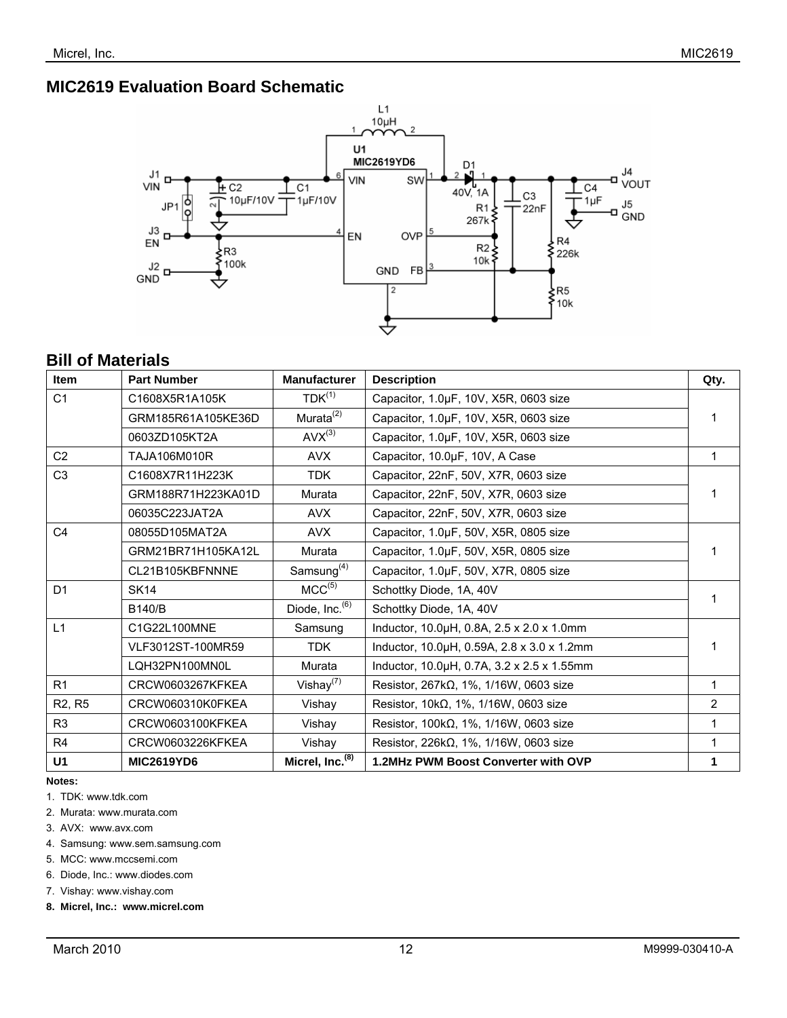### **MIC2619 Evaluation Board Schematic**



## **Bill of Materials**

| <b>Item</b>                     | <b>Part Number</b> | <b>Manufacturer</b>         | <b>Description</b>                               | Qty.         |
|---------------------------------|--------------------|-----------------------------|--------------------------------------------------|--------------|
| C <sub>1</sub>                  | C1608X5R1A105K     | $TDK^{(1)}$                 | Capacitor, 1.0µF, 10V, X5R, 0603 size            |              |
|                                 | GRM185R61A105KE36D | Murata $(2)$                | Capacitor, 1.0µF, 10V, X5R, 0603 size            |              |
|                                 | 0603ZD105KT2A      | $AVX^{(3)}$                 | Capacitor, 1.0µF, 10V, X5R, 0603 size            |              |
| C <sub>2</sub>                  | TAJA106M010R       | <b>AVX</b>                  | Capacitor, 10.0µF, 10V, A Case                   | $\mathbf{1}$ |
| C <sub>3</sub>                  | C1608X7R11H223K    | <b>TDK</b>                  | Capacitor, 22nF, 50V, X7R, 0603 size             |              |
|                                 | GRM188R71H223KA01D | Murata                      | Capacitor, 22nF, 50V, X7R, 0603 size             |              |
|                                 | 06035C223JAT2A     | <b>AVX</b>                  | Capacitor, 22nF, 50V, X7R, 0603 size             |              |
| C <sub>4</sub>                  | 08055D105MAT2A     | <b>AVX</b>                  | Capacitor, 1.0µF, 50V, X5R, 0805 size            |              |
|                                 | GRM21BR71H105KA12L | Murata                      | Capacitor, 1.0µF, 50V, X5R, 0805 size            |              |
|                                 | CL21B105KBFNNNE    | Samsung $(4)$               | Capacitor, 1.0µF, 50V, X7R, 0805 size            |              |
| D <sub>1</sub>                  | <b>SK14</b>        | MCC <sup>(5)</sup>          | Schottky Diode, 1A, 40V                          |              |
|                                 | <b>B140/B</b>      | Diode, $Inc.^{(6)}$         | Schottky Diode, 1A, 40V                          |              |
| L1                              | C1G22L100MNE       | Samsung                     | Inductor, 10.0µH, 0.8A, 2.5 x 2.0 x 1.0mm        |              |
|                                 | VLF3012ST-100MR59  | <b>TDK</b>                  | Inductor, 10.0µH, 0.59A, 2.8 x 3.0 x 1.2mm       |              |
|                                 | LQH32PN100MN0L     | Murata                      | Inductor, 10.0µH, 0.7A, 3.2 x 2.5 x 1.55mm       |              |
| R <sub>1</sub>                  | CRCW0603267KFKEA   | Vishay $(7)$                | Resistor, $267k\Omega$ , 1%, $1/16W$ , 0603 size | 1            |
| R <sub>2</sub> , R <sub>5</sub> | CRCW060310K0FKEA   | Vishay                      | Resistor, $10k\Omega$ , 1%, $1/16W$ , 0603 size  | 2            |
| R <sub>3</sub>                  | CRCW0603100KFKEA   | Vishay                      | Resistor, $100k\Omega$ , 1%, $1/16W$ , 0603 size | 1            |
| R <sub>4</sub>                  | CRCW0603226KFKEA   | Vishay                      | Resistor, $226k\Omega$ , 1%, $1/16W$ , 0603 size |              |
| U <sub>1</sub>                  | <b>MIC2619YD6</b>  | Micrel, Inc. <sup>(8)</sup> | 1.2MHz PWM Boost Converter with OVP              | 1            |

**Notes:** 

1. TDK: www.tdk.com

- 2. Murata: www.murata.com
- 3. AVX: www.avx.com

4. Samsung: www.sem.samsung.com

5. MCC: www.mccsemi.com

6. Diode, Inc.: www.diodes.com

7. Vishay: www.vishay.com

**8. Micrel, Inc.: www.micrel.com**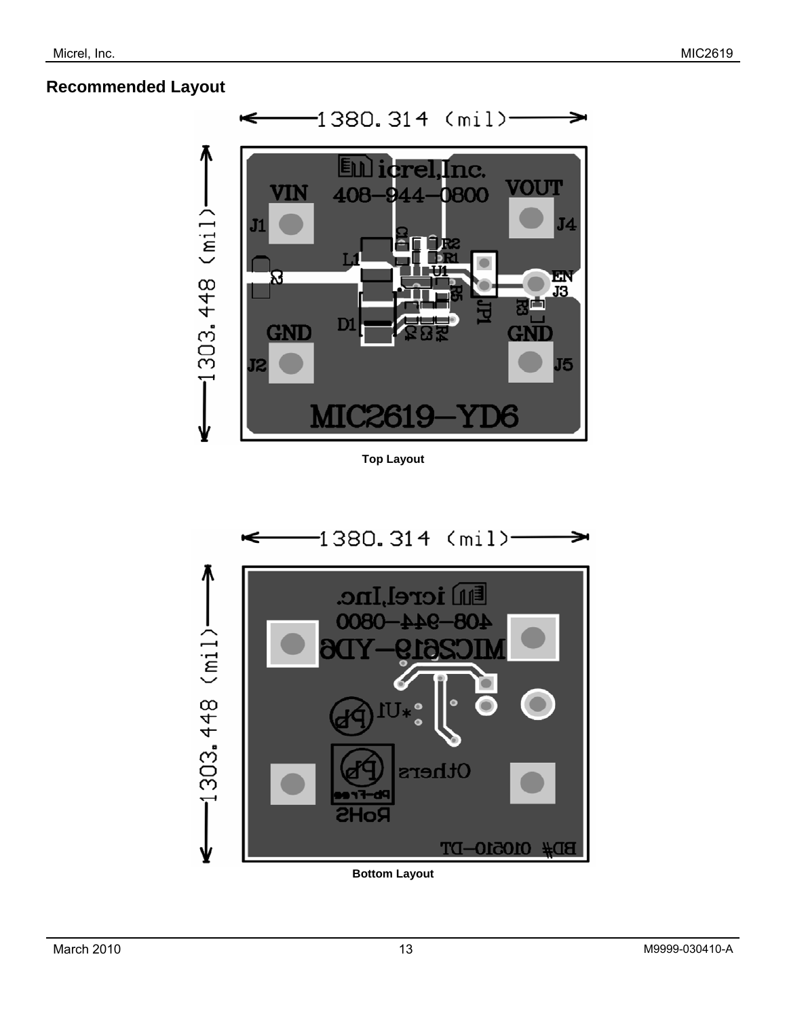### **Recommended Layout**



**Top Layout** 



**Bottom Layout**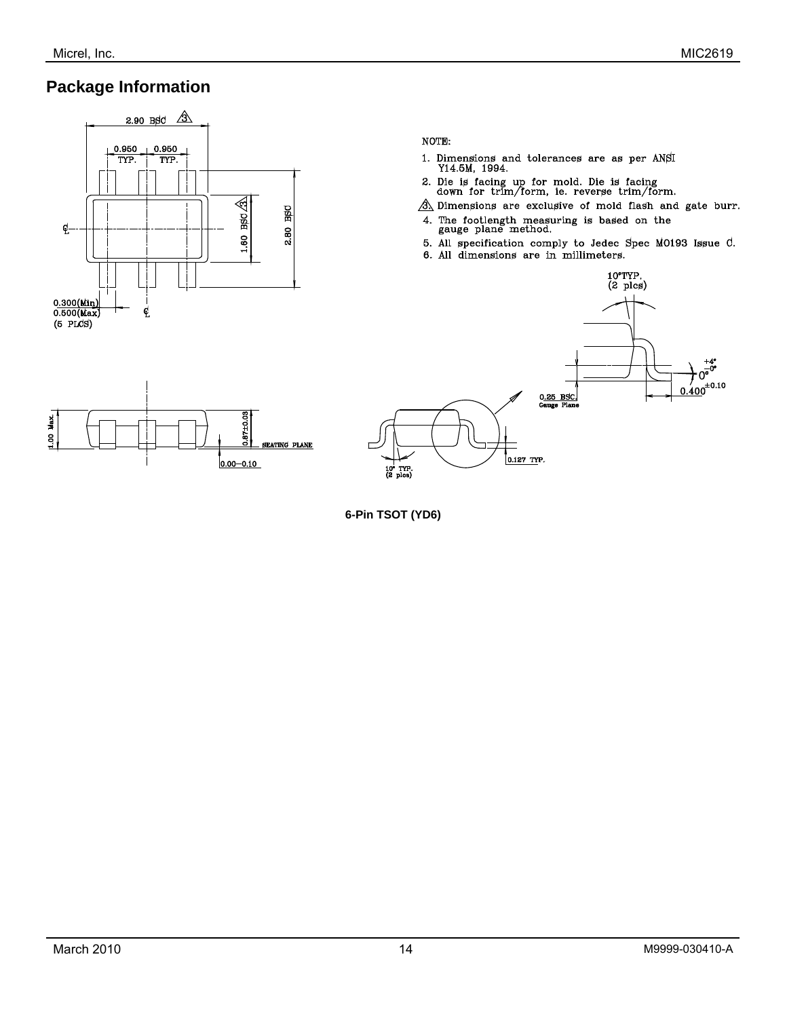Max ą

## **Package Information**



87±0.08

 $0.00 - 0.10$ 

**SEATING PLANE** 

#### NOTE:

- 1. Dimensions and tolerances are as per ANSI Y14.5M, 1994.  $\,$
- 2. Die is facing up for mold. Die is facing down for trim/form, ie. reverse trim/form.
- $\mathcal{A}\$  Dimensions are exclusive of mold flash and gate burr.
- 4. The footlength measuring is based on the gauge plane method.
- 5. All specification comply to Jedec Spec M0193 Issue C.
- 6. All dimensions are in millimeters.



**6-Pin TSOT (YD6)**